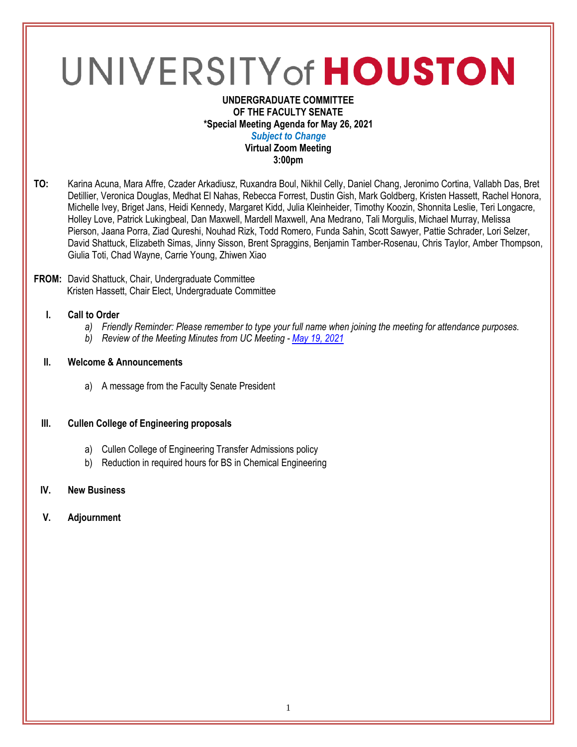# UNIVERSITY of HOUSTON

#### **UNDERGRADUATE COMMITTEE OF THE FACULTY SENATE \*Special Meeting Agenda for May 26, 2021** *Subject to Change* **Virtual Zoom Meeting 3:00pm**

**TO:** Karina Acuna, Mara Affre, Czader Arkadiusz, Ruxandra Boul, Nikhil Celly, Daniel Chang, Jeronimo Cortina, Vallabh Das, Bret Detillier, Veronica Douglas, Medhat El Nahas, Rebecca Forrest, Dustin Gish, Mark Goldberg, Kristen Hassett, Rachel Honora, Michelle Ivey, Briget Jans, Heidi Kennedy, Margaret Kidd, Julia Kleinheider, Timothy Koozin, Shonnita Leslie, Teri Longacre, Holley Love, Patrick Lukingbeal, Dan Maxwell, Mardell Maxwell, Ana Medrano, Tali Morgulis, Michael Murray, Melissa Pierson, Jaana Porra, Ziad Qureshi, Nouhad Rizk, Todd Romero, Funda Sahin, Scott Sawyer, Pattie Schrader, Lori Selzer, David Shattuck, Elizabeth Simas, Jinny Sisson, Brent Spraggins, Benjamin Tamber-Rosenau, Chris Taylor, Amber Thompson, Giulia Toti, Chad Wayne, Carrie Young, Zhiwen Xiao

#### **FROM:** David Shattuck, Chair, Undergraduate Committee Kristen Hassett, Chair Elect, Undergraduate Committee

# **I. Call to Order**

- *a) Friendly Reminder: Please remember to type your full name when joining the meeting for attendance purposes.*
- *b) Review of the Meeting Minutes from UC Meeting - May [19, 2021](https://uh.edu/undergraduate-committee/meetings/agendas-minutes/ay-2021/m_2021_0519.pdf)*

## **II. Welcome & Announcements**

a) A message from the Faculty Senate President

## **III. Cullen College of Engineering proposals**

- a) Cullen College of Engineering Transfer Admissions policy
- b) Reduction in required hours for BS in Chemical Engineering

## **IV. New Business**

**V. Adjournment**